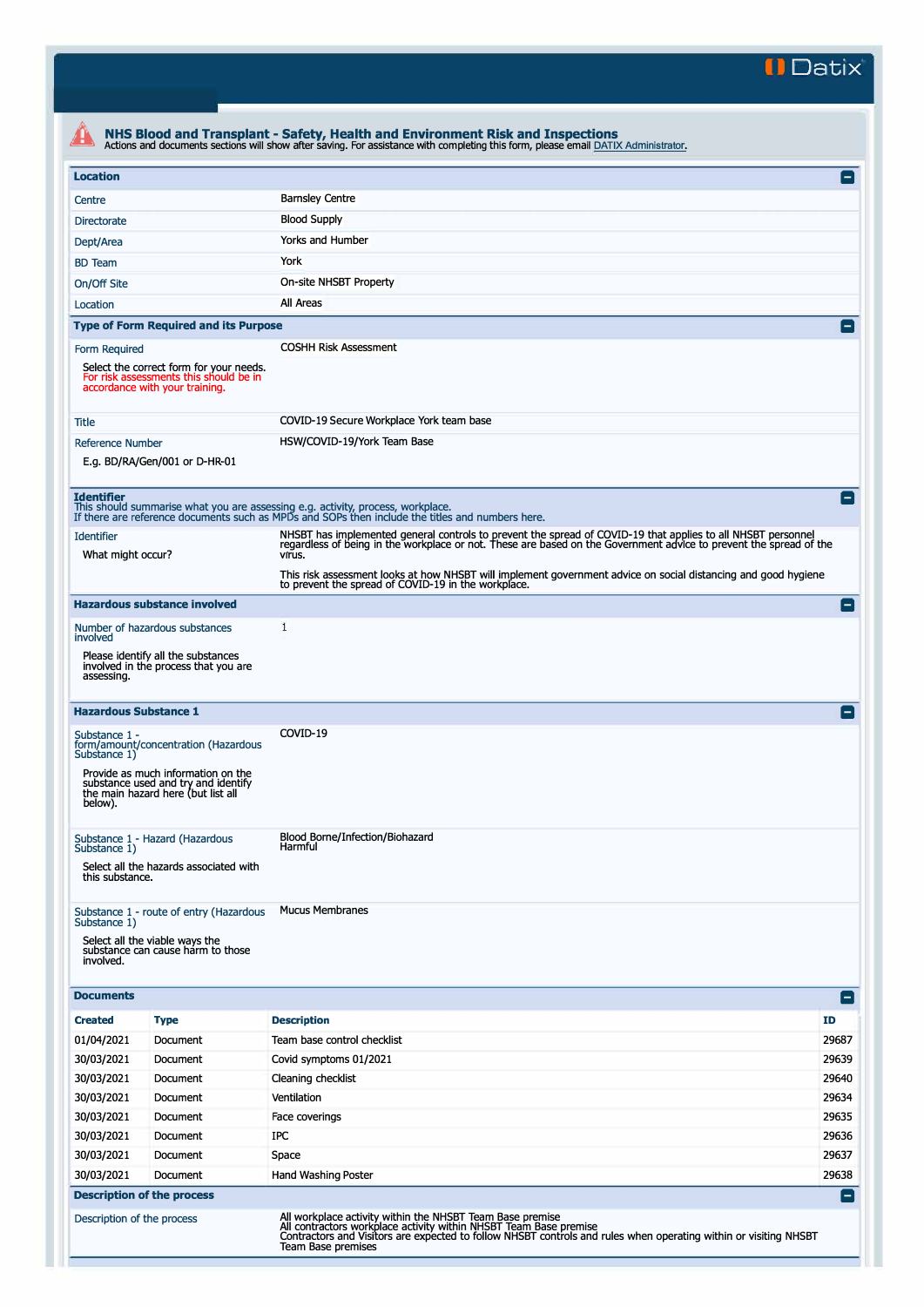**II Datix'** 

|                                                                                                              |                                                                                                                                                         | NHS Blood and Transplant - Safety, Health and Environment Risk and Inspections<br>Actions and documents sections will show after saving. For assistance with completing this form, please email DATIX Administrator.                         |                    |  |  |  |
|--------------------------------------------------------------------------------------------------------------|---------------------------------------------------------------------------------------------------------------------------------------------------------|----------------------------------------------------------------------------------------------------------------------------------------------------------------------------------------------------------------------------------------------|--------------------|--|--|--|
| <b>Location</b>                                                                                              |                                                                                                                                                         |                                                                                                                                                                                                                                              | Α                  |  |  |  |
| Centre                                                                                                       |                                                                                                                                                         | <b>Barnsley Centre</b>                                                                                                                                                                                                                       |                    |  |  |  |
| <b>Directorate</b>                                                                                           |                                                                                                                                                         | <b>Blood Supply</b>                                                                                                                                                                                                                          |                    |  |  |  |
| Dept/Area                                                                                                    |                                                                                                                                                         | Yorks and Humber                                                                                                                                                                                                                             |                    |  |  |  |
| <b>BD</b> Team                                                                                               |                                                                                                                                                         | York                                                                                                                                                                                                                                         |                    |  |  |  |
| On/Off Site                                                                                                  |                                                                                                                                                         | On-site NHSBT Property                                                                                                                                                                                                                       |                    |  |  |  |
| Location                                                                                                     |                                                                                                                                                         | All Areas                                                                                                                                                                                                                                    |                    |  |  |  |
|                                                                                                              | <b>Type of Form Required and its Purpose</b>                                                                                                            |                                                                                                                                                                                                                                              | $\left  - \right $ |  |  |  |
| Form Required                                                                                                |                                                                                                                                                         | <b>COSHH Risk Assessment</b>                                                                                                                                                                                                                 |                    |  |  |  |
|                                                                                                              | Select the correct form for your needs.<br>For risk assessments this should be in<br>accordance with your training.                                     |                                                                                                                                                                                                                                              |                    |  |  |  |
| Title                                                                                                        |                                                                                                                                                         | COVID-19 Secure Workplace York team base                                                                                                                                                                                                     |                    |  |  |  |
| <b>Reference Number</b>                                                                                      | E.g. BD/RA/Gen/001 or D-HR-01                                                                                                                           | HSW/COVID-19/York Team Base                                                                                                                                                                                                                  |                    |  |  |  |
| <b>Identifier</b>                                                                                            |                                                                                                                                                         | This should summarise what you are assessing e.g. activity, process, workplace.<br>If there are reference documents such as MPDs and SOPs then include the titles and numbers here.                                                          | Е                  |  |  |  |
| <b>Identifier</b><br>What might occur?                                                                       |                                                                                                                                                         | NHSBT has implemented general controls to prevent the spread of COVID-19 that applies to all NHSBT personnel<br>regardless of being in the workplace or not. These are based on the Government advice to prevent the spread of the<br>virus. |                    |  |  |  |
|                                                                                                              |                                                                                                                                                         | This risk assessment looks at how NHSBT will implement government advice on social distancing and good hygiene<br>to prevent the spread of COVID-19 in the workplace.                                                                        |                    |  |  |  |
|                                                                                                              | <b>Hazardous substance involved</b>                                                                                                                     |                                                                                                                                                                                                                                              | E                  |  |  |  |
| involved                                                                                                     | Number of hazardous substances                                                                                                                          | 1                                                                                                                                                                                                                                            |                    |  |  |  |
| Please identify all the substances<br>involved in the process that you are<br>assessing.                     |                                                                                                                                                         |                                                                                                                                                                                                                                              |                    |  |  |  |
| <b>Hazardous Substance 1</b>                                                                                 |                                                                                                                                                         |                                                                                                                                                                                                                                              | Iн                 |  |  |  |
| Substance 1 -<br>Substance 1)<br>below).                                                                     | form/amount/concentration (Hazardous<br>Provide as much information on the<br>substance used and try and identify<br>the main hazard here (but list all | COVID-19                                                                                                                                                                                                                                     |                    |  |  |  |
| Substance 1 - Hazard (Hazardous<br>Substance 1)<br>Select all the hazards associated with<br>this substance. |                                                                                                                                                         | Blood Borne/Infection/Biohazard<br>Harmful                                                                                                                                                                                                   |                    |  |  |  |
| Substance 1)<br>involved.                                                                                    | Substance 1 - route of entry (Hazardous<br>Select all the viable ways the<br>substance can cause harm to those                                          | <b>Mucus Membranes</b>                                                                                                                                                                                                                       |                    |  |  |  |
| <b>Documents</b>                                                                                             |                                                                                                                                                         |                                                                                                                                                                                                                                              | $\blacksquare$     |  |  |  |
| <b>Created</b>                                                                                               | <b>Type</b>                                                                                                                                             | <b>Description</b>                                                                                                                                                                                                                           | ID                 |  |  |  |
| 01/04/2021                                                                                                   | Document                                                                                                                                                | Team base control checklist                                                                                                                                                                                                                  | 29687              |  |  |  |
| 30/03/2021                                                                                                   | Document                                                                                                                                                | Covid symptoms 01/2021                                                                                                                                                                                                                       | 29639              |  |  |  |
| 30/03/2021                                                                                                   | Document                                                                                                                                                | Cleaning checklist                                                                                                                                                                                                                           | 29640              |  |  |  |
| 30/03/2021                                                                                                   | Document                                                                                                                                                | Ventilation                                                                                                                                                                                                                                  | 29634              |  |  |  |
| 30/03/2021                                                                                                   | Document                                                                                                                                                | Face coverings                                                                                                                                                                                                                               | 29635              |  |  |  |
| 30/03/2021                                                                                                   | Document                                                                                                                                                | IPC                                                                                                                                                                                                                                          | 29636              |  |  |  |
| 30/03/2021                                                                                                   | Document                                                                                                                                                | Space                                                                                                                                                                                                                                        | 29637              |  |  |  |
| 30/03/2021                                                                                                   | Document                                                                                                                                                | Hand Washing Poster                                                                                                                                                                                                                          | 29638              |  |  |  |
| <b>Description of the process</b><br>Description of the process                                              |                                                                                                                                                         | All workplace activity within the NHSBT Team Base premise                                                                                                                                                                                    | E                  |  |  |  |
|                                                                                                              |                                                                                                                                                         | All contractors workplace activity within NHSBT Team Base premise<br>Contractors and Visitors are expected to follow NHSBT controls and rules when operating within or visiting NHSBT<br>Team Base premises                                  |                    |  |  |  |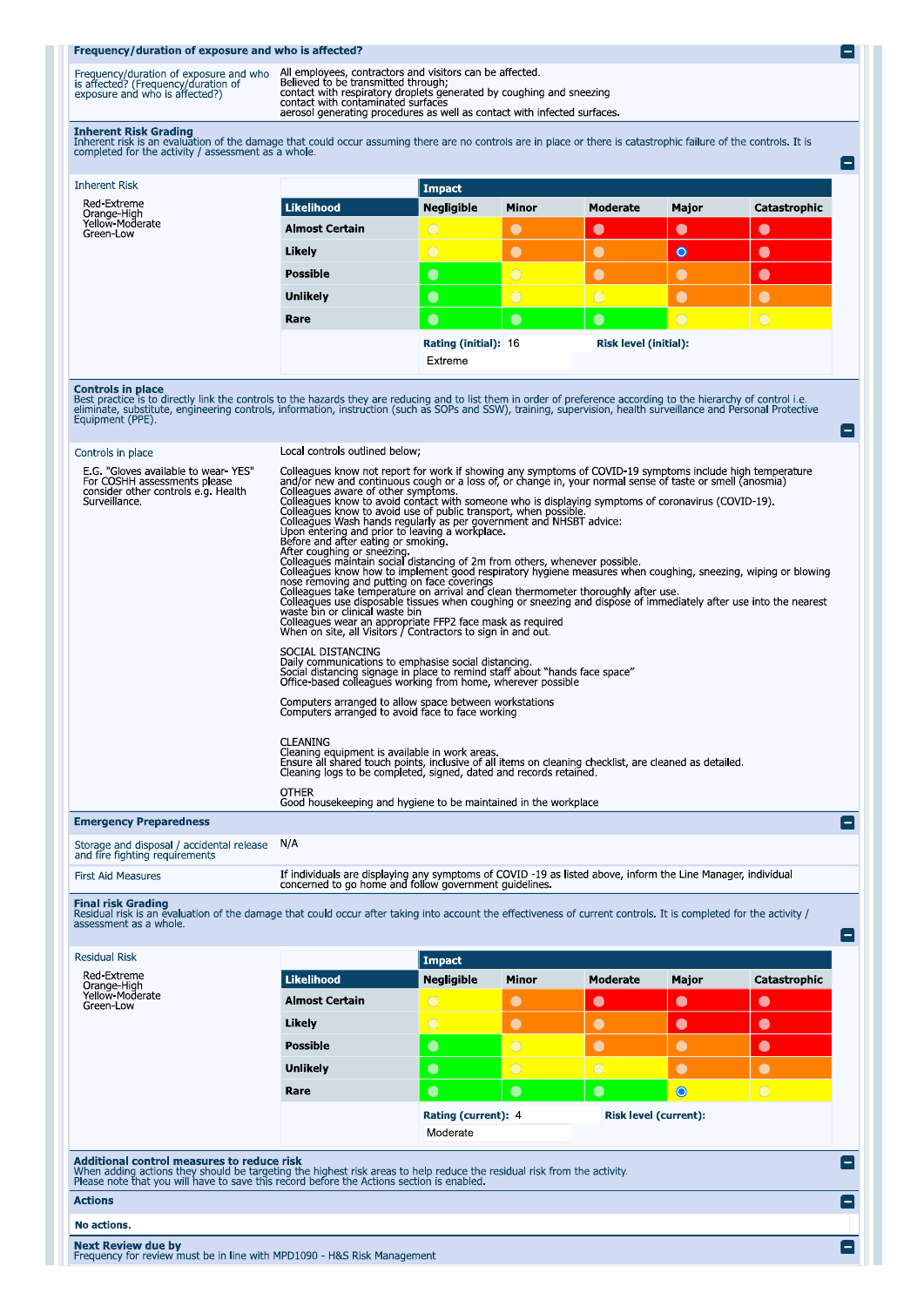## Frequency/duration of exposure and who is affected?

| Frequency/duration of exposure and who<br>is affected? (Frequency/duration of<br>exposure and who is affected?) | All employees, contractors and visitors can be affected<br>Believed to be transmitted through:<br>contact with respiratory droplets generated by coughing and sneezing<br>contact with contaminated surfaces<br>aerosol generating procedures as well as contact with infected surfaces |
|-----------------------------------------------------------------------------------------------------------------|-----------------------------------------------------------------------------------------------------------------------------------------------------------------------------------------------------------------------------------------------------------------------------------------|

e

۸

Ξ

Е

Inherent Risk Grading<br>Inherent risk is an evaluation of the damage that could occur assuming there are no controls are in place or there is catastrophic failure of the controls. It is<br>completed for the activity / assessmen

| <b>Inherent Risk</b>                                       |                       | Impact            |                      |            |                       |              |  |
|------------------------------------------------------------|-----------------------|-------------------|----------------------|------------|-----------------------|--------------|--|
| Red-Extreme<br>Orange-High<br>Yellow-Moderate<br>Green-Low | Likelihood            | <b>Negligible</b> | <b>Minor</b>         | Moderate   | Major                 | Catastrophic |  |
|                                                            | <b>Almost Certain</b> | $\circ$           | $\bullet$            | $\bullet$  | $\bullet$             | $\bullet$    |  |
|                                                            | Likely                | $\bigcirc$        | $\bullet$            | $\bullet$  | $\bullet$             | $\bullet$    |  |
|                                                            | <b>Possible</b>       | $\bullet$         | $\overline{O}$       | $\bullet$  | $\bullet$             | $\bullet$    |  |
|                                                            | <b>Unlikely</b>       | $\bullet$         | $\circ$              | $\bigcirc$ | $\bullet$             | $\bullet$    |  |
|                                                            | Rare                  | $\bullet$         | $\bullet$            | $\bullet$  | $\circ$               | $\bigcirc$   |  |
|                                                            |                       |                   | Rating (initial): 16 |            | Risk level (initial): |              |  |
|                                                            |                       | Extreme           |                      |            |                       |              |  |

**Controls in place**<br>Best practice is to directly link the controls to the hazards they are reducing and to list them in order of preference according to the hierarchy of control i.e.<br>eliminate, substitute, engineering cont

# Controls in place

Local controls outlined below;

| E.G. "Gloves available to wear YES"<br>For COSHH assessments please<br>consider other controls e.g. Health<br>Surveillance. | Colleagues know not report for work if showing any symptoms of COVID-19 symptoms include high temperature<br>and/or new and continuous cough or a loss of, or change in, your normal sense of taste or smell (anosmia)<br>Colleagues aware of other symptoms.<br>Colleagues know to avoid contact with someone who is displaying symptoms of coronavirus (COVID-19).<br>Colleagues know to avoid use of public transport, when possible<br>Colleagues Wash hands regularly as per government and NHSBT advice:<br>Upon entering and prior to leaving a workplace.<br>Before and after eating or smoking.<br>After coughing or sneezing.<br>Colleagues maintain social distancing of 2m from others, whenever possible.<br>Colleagues know how to implement good respiratory hygiene measures when coughing, sneezing, wiping or blowing<br>nose removing and putting on face coverings<br>Colleagues take temperature on arrival and clean thermometer thoroughly after use.<br>Colleagues use disposable tissues when coughing or sneezing and dispose of immediately after use into the nearest<br>waste bin or clinical waste bin<br>Colleagues wear an appropriate FFP2 face mask as required<br>When on site, all Visitors / Contractors to sign in and out<br>SOCIAL DISTANCING<br>Daily communications to emphasise social distancing.<br>Social distancing signage in place to remind staff about "hands face space"<br>Office-based colleagues working from home, wherever possible<br>Computers arranged to allow space between workstations<br>Computers arranged to avoid face to face working<br><b>CLEANING</b><br>Cleaning equipment is available in work areas.<br>Ensure all shared touch points, inclusive of all items on cleaning checklist, are cleaned as detailed.<br>Cleaning logs to be completed, signed, dated and records retained<br><b>OTHER</b><br>Good housekeeping and hygiene to be maintained in the workplace |
|-----------------------------------------------------------------------------------------------------------------------------|---------------------------------------------------------------------------------------------------------------------------------------------------------------------------------------------------------------------------------------------------------------------------------------------------------------------------------------------------------------------------------------------------------------------------------------------------------------------------------------------------------------------------------------------------------------------------------------------------------------------------------------------------------------------------------------------------------------------------------------------------------------------------------------------------------------------------------------------------------------------------------------------------------------------------------------------------------------------------------------------------------------------------------------------------------------------------------------------------------------------------------------------------------------------------------------------------------------------------------------------------------------------------------------------------------------------------------------------------------------------------------------------------------------------------------------------------------------------------------------------------------------------------------------------------------------------------------------------------------------------------------------------------------------------------------------------------------------------------------------------------------------------------------------------------------------------------------------------------------------------------------------------------------------------------------------------------|
| <b>Emergency Preparedness</b>                                                                                               | $\vert - \vert$                                                                                                                                                                                                                                                                                                                                                                                                                                                                                                                                                                                                                                                                                                                                                                                                                                                                                                                                                                                                                                                                                                                                                                                                                                                                                                                                                                                                                                                                                                                                                                                                                                                                                                                                                                                                                                                                                                                                   |
| Storage and disposal / accidental release<br>and fire fighting requirements                                                 | N/A                                                                                                                                                                                                                                                                                                                                                                                                                                                                                                                                                                                                                                                                                                                                                                                                                                                                                                                                                                                                                                                                                                                                                                                                                                                                                                                                                                                                                                                                                                                                                                                                                                                                                                                                                                                                                                                                                                                                               |
| <b>First Aid Measures</b>                                                                                                   | If individuals are displaying any symptoms of COVID -19 as listed above, inform the Line Manager, individual<br>concerned to go home and follow government quidelines.                                                                                                                                                                                                                                                                                                                                                                                                                                                                                                                                                                                                                                                                                                                                                                                                                                                                                                                                                                                                                                                                                                                                                                                                                                                                                                                                                                                                                                                                                                                                                                                                                                                                                                                                                                            |

Final risk Grading<br>Residual risk is an evaluation of the damage that could occur after taking into account the effectiveness of current controls. It is completed for the activity /<br>assessment as a whole.

| <b>Residual Risk</b>                                                                                                                                                                                                                                                                           |                       | Impact                          |                |                              |           |              |
|------------------------------------------------------------------------------------------------------------------------------------------------------------------------------------------------------------------------------------------------------------------------------------------------|-----------------------|---------------------------------|----------------|------------------------------|-----------|--------------|
| Red-Extreme<br>Orange-High                                                                                                                                                                                                                                                                     | <b>Likelihood</b>     | <b>Negligible</b>               | <b>Minor</b>   | <b>Moderate</b>              | Major     | Catastrophic |
| Yellow-Moderate<br>Green-Low                                                                                                                                                                                                                                                                   | <b>Almost Certain</b> | $\bigcirc$                      | $\bullet$      | $\bullet$                    | $\bullet$ | $\bullet$    |
|                                                                                                                                                                                                                                                                                                | Likely                | $\bigcirc$                      | $\bullet$      | $\bullet$                    | $\bullet$ | $\bullet$    |
|                                                                                                                                                                                                                                                                                                | <b>Possible</b>       | $\bullet$                       | $\overline{O}$ | $\bullet$                    | $\bullet$ | $\bullet$    |
|                                                                                                                                                                                                                                                                                                | <b>Unlikely</b>       | $\bullet$                       | $\overline{O}$ | $\bigcirc$                   | $\bullet$ | $\bullet$    |
|                                                                                                                                                                                                                                                                                                | Rare                  | $\bullet$                       | $\bullet$      | $\bullet$                    | $\bullet$ | $\bigcap$    |
|                                                                                                                                                                                                                                                                                                |                       | Rating (current): 4<br>Moderate |                | <b>Risk level (current):</b> |           |              |
|                                                                                                                                                                                                                                                                                                |                       |                                 |                |                              |           |              |
| Additional control measures to reduce risk<br>$\overline{\phantom{a}}$<br>When adding actions they should be targeting the highest risk areas to help reduce the residual risk from the activity.<br>Please note that you will have to save this record before the Actions section is enabled. |                       |                                 |                |                              |           |              |
| <b>Actions</b><br>—                                                                                                                                                                                                                                                                            |                       |                                 |                |                              |           |              |
| No actions.                                                                                                                                                                                                                                                                                    |                       |                                 |                |                              |           |              |